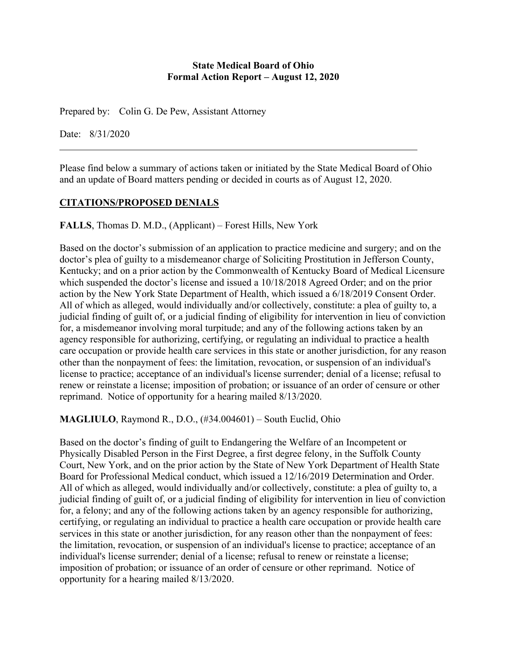#### **State Medical Board of Ohio Formal Action Report – August 12, 2020**

Prepared by: Colin G. De Pew, Assistant Attorney

Date: 8/31/2020

Please find below a summary of actions taken or initiated by the State Medical Board of Ohio and an update of Board matters pending or decided in courts as of August 12, 2020.

### **CITATIONS/PROPOSED DENIALS**

**FALLS**, Thomas D. M.D., (Applicant) – Forest Hills, New York

Based on the doctor's submission of an application to practice medicine and surgery; and on the doctor's plea of guilty to a misdemeanor charge of Soliciting Prostitution in Jefferson County, Kentucky; and on a prior action by the Commonwealth of Kentucky Board of Medical Licensure which suspended the doctor's license and issued a 10/18/2018 Agreed Order; and on the prior action by the New York State Department of Health, which issued a 6/18/2019 Consent Order. All of which as alleged, would individually and/or collectively, constitute: a plea of guilty to, a judicial finding of guilt of, or a judicial finding of eligibility for intervention in lieu of conviction for, a misdemeanor involving moral turpitude; and any of the following actions taken by an agency responsible for authorizing, certifying, or regulating an individual to practice a health care occupation or provide health care services in this state or another jurisdiction, for any reason other than the nonpayment of fees: the limitation, revocation, or suspension of an individual's license to practice; acceptance of an individual's license surrender; denial of a license; refusal to renew or reinstate a license; imposition of probation; or issuance of an order of censure or other reprimand. Notice of opportunity for a hearing mailed 8/13/2020.

**MAGLIULO**, Raymond R., D.O., (#34.004601) – South Euclid, Ohio

Based on the doctor's finding of guilt to Endangering the Welfare of an Incompetent or Physically Disabled Person in the First Degree, a first degree felony, in the Suffolk County Court, New York, and on the prior action by the State of New York Department of Health State Board for Professional Medical conduct, which issued a 12/16/2019 Determination and Order. All of which as alleged, would individually and/or collectively, constitute: a plea of guilty to, a judicial finding of guilt of, or a judicial finding of eligibility for intervention in lieu of conviction for, a felony; and any of the following actions taken by an agency responsible for authorizing, certifying, or regulating an individual to practice a health care occupation or provide health care services in this state or another jurisdiction, for any reason other than the nonpayment of fees: the limitation, revocation, or suspension of an individual's license to practice; acceptance of an individual's license surrender; denial of a license; refusal to renew or reinstate a license; imposition of probation; or issuance of an order of censure or other reprimand. Notice of opportunity for a hearing mailed 8/13/2020.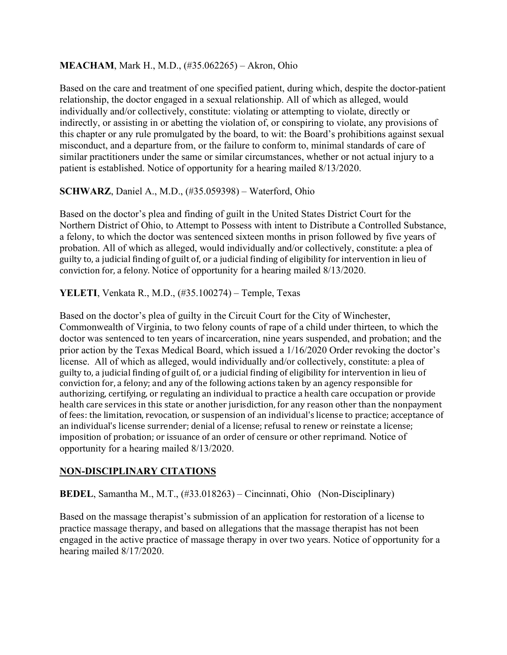### **MEACHAM**, Mark H., M.D., (#35.062265) – Akron, Ohio

Based on the care and treatment of one specified patient, during which, despite the doctor-patient relationship, the doctor engaged in a sexual relationship. All of which as alleged, would individually and/or collectively, constitute: violating or attempting to violate, directly or indirectly, or assisting in or abetting the violation of, or conspiring to violate, any provisions of this chapter or any rule promulgated by the board, to wit: the Board's prohibitions against sexual misconduct, and a departure from, or the failure to conform to, minimal standards of care of similar practitioners under the same or similar circumstances, whether or not actual injury to a patient is established. Notice of opportunity for a hearing mailed 8/13/2020.

### **SCHWARZ**, Daniel A., M.D., (#35.059398) – Waterford, Ohio

Based on the doctor's plea and finding of guilt in the United States District Court for the Northern District of Ohio, to Attempt to Possess with intent to Distribute a Controlled Substance, a felony, to which the doctor was sentenced sixteen months in prison followed by five years of probation. All of which as alleged, would individually and/or collectively, constitute: a plea of guilty to, a judicial finding of guilt of, or a judicial finding of eligibility for intervention in lieu of conviction for, a felony. Notice of opportunity for a hearing mailed 8/13/2020.

**YELETI**, Venkata R., M.D., (#35.100274) – Temple, Texas

Based on the doctor's plea of guilty in the Circuit Court for the City of Winchester, Commonwealth of Virginia, to two felony counts of rape of a child under thirteen, to which the doctor was sentenced to ten years of incarceration, nine years suspended, and probation; and the prior action by the Texas Medical Board, which issued a 1/16/2020 Order revoking the doctor's license. All of which as alleged, would individually and/or collectively, constitute: a plea of guilty to, a judicial finding of guilt of, or a judicial finding of eligibility for intervention in lieu of conviction for, a felony; and any of the following actions taken by an agency responsible for authorizing, certifying, or regulating an individual to practice a health care occupation or provide health care services in this state or another jurisdiction, for any reason other than the nonpayment of fees: the limitation, revocation, or suspension of an individual's license to practice; acceptance of an individual's license surrender; denial of a license; refusal to renew or reinstate a license; imposition of probation; or issuance of an order of censure or other reprimand. Notice of opportunity for a hearing mailed 8/13/2020.

#### **NON-DISCIPLINARY CITATIONS**

**BEDEL**, Samantha M., M.T., (#33.018263) – Cincinnati, Ohio (Non-Disciplinary)

Based on the massage therapist's submission of an application for restoration of a license to practice massage therapy, and based on allegations that the massage therapist has not been engaged in the active practice of massage therapy in over two years. Notice of opportunity for a hearing mailed 8/17/2020.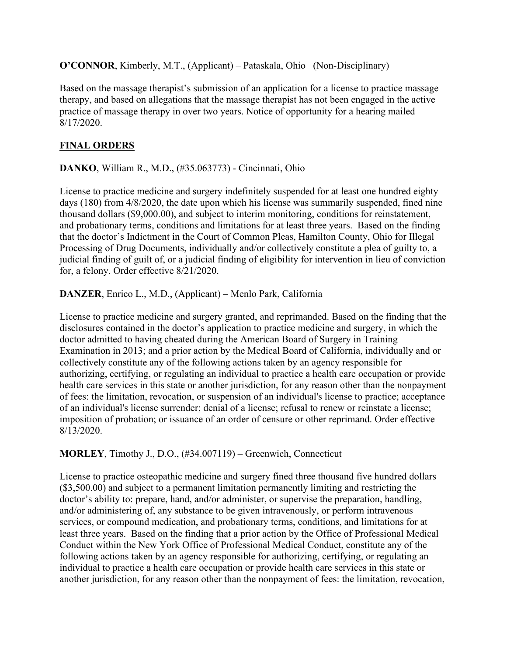**O'CONNOR**, Kimberly, M.T., (Applicant) – Pataskala, Ohio (Non-Disciplinary)

Based on the massage therapist's submission of an application for a license to practice massage therapy, and based on allegations that the massage therapist has not been engaged in the active practice of massage therapy in over two years. Notice of opportunity for a hearing mailed 8/17/2020.

## **FINAL ORDERS**

**DANKO**, William R., M.D., (#35.063773) - Cincinnati, Ohio

License to practice medicine and surgery indefinitely suspended for at least one hundred eighty days (180) from  $4/8/2020$ , the date upon which his license was summarily suspended, fined nine thousand dollars (\$9,000.00), and subject to interim monitoring, conditions for reinstatement, and probationary terms, conditions and limitations for at least three years. Based on the finding that the doctor's Indictment in the Court of Common Pleas, Hamilton County, Ohio for Illegal Processing of Drug Documents, individually and/or collectively constitute a plea of guilty to, a judicial finding of guilt of, or a judicial finding of eligibility for intervention in lieu of conviction for, a felony. Order effective 8/21/2020.

**DANZER**, Enrico L., M.D., (Applicant) – Menlo Park, California

License to practice medicine and surgery granted, and reprimanded. Based on the finding that the disclosures contained in the doctor's application to practice medicine and surgery, in which the doctor admitted to having cheated during the American Board of Surgery in Training Examination in 2013; and a prior action by the Medical Board of California, individually and or collectively constitute any of the following actions taken by an agency responsible for authorizing, certifying, or regulating an individual to practice a health care occupation or provide health care services in this state or another jurisdiction, for any reason other than the nonpayment of fees: the limitation, revocation, or suspension of an individual's license to practice; acceptance of an individual's license surrender; denial of a license; refusal to renew or reinstate a license; imposition of probation; or issuance of an order of censure or other reprimand. Order effective 8/13/2020.

**MORLEY**, Timothy J., D.O., (#34.007119) – Greenwich, Connecticut

License to practice osteopathic medicine and surgery fined three thousand five hundred dollars (\$3,500.00) and subject to a permanent limitation permanently limiting and restricting the doctor's ability to: prepare, hand, and/or administer, or supervise the preparation, handling, and/or administering of, any substance to be given intravenously, or perform intravenous services, or compound medication, and probationary terms, conditions, and limitations for at least three years. Based on the finding that a prior action by the Office of Professional Medical Conduct within the New York Office of Professional Medical Conduct, constitute any of the following actions taken by an agency responsible for authorizing, certifying, or regulating an individual to practice a health care occupation or provide health care services in this state or another jurisdiction, for any reason other than the nonpayment of fees: the limitation, revocation,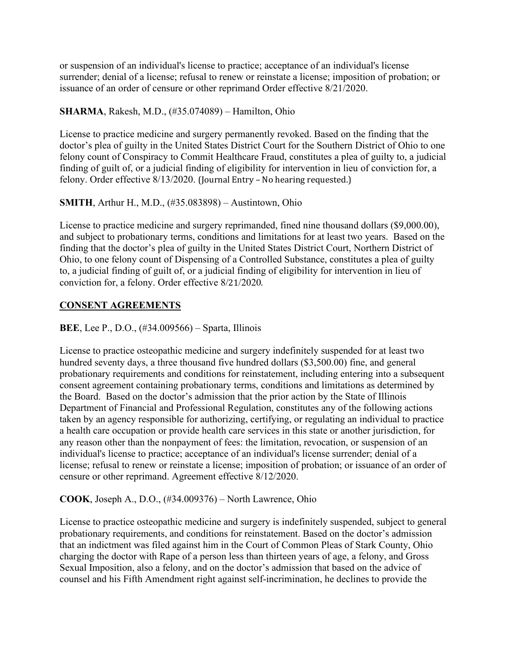or suspension of an individual's license to practice; acceptance of an individual's license surrender; denial of a license; refusal to renew or reinstate a license; imposition of probation; or issuance of an order of censure or other reprimand Order effective 8/21/2020.

### **SHARMA**, Rakesh, M.D., (#35.074089) – Hamilton, Ohio

License to practice medicine and surgery permanently revoked. Based on the finding that the doctor's plea of guilty in the United States District Court for the Southern District of Ohio to one felony count of Conspiracy to Commit Healthcare Fraud, constitutes a plea of guilty to, a judicial finding of guilt of, or a judicial finding of eligibility for intervention in lieu of conviction for, a felony. Order effective 8/13/2020. (Journal Entry – No hearing requested.)

## **SMITH**, Arthur H., M.D., (#35.083898) – Austintown, Ohio

License to practice medicine and surgery reprimanded, fined nine thousand dollars (\$9,000.00), and subject to probationary terms, conditions and limitations for at least two years. Based on the finding that the doctor's plea of guilty in the United States District Court, Northern District of Ohio, to one felony count of Dispensing of a Controlled Substance, constitutes a plea of guilty to, a judicial finding of guilt of, or a judicial finding of eligibility for intervention in lieu of conviction for, a felony. Order effective 8/21/2020.

# **CONSENT AGREEMENTS**

**BEE**, Lee P., D.O., (#34.009566) – Sparta, Illinois

License to practice osteopathic medicine and surgery indefinitely suspended for at least two hundred seventy days, a three thousand five hundred dollars (\$3,500.00) fine, and general probationary requirements and conditions for reinstatement, including entering into a subsequent consent agreement containing probationary terms, conditions and limitations as determined by the Board. Based on the doctor's admission that the prior action by the State of Illinois Department of Financial and Professional Regulation, constitutes any of the following actions taken by an agency responsible for authorizing, certifying, or regulating an individual to practice a health care occupation or provide health care services in this state or another jurisdiction, for any reason other than the nonpayment of fees: the limitation, revocation, or suspension of an individual's license to practice; acceptance of an individual's license surrender; denial of a license; refusal to renew or reinstate a license; imposition of probation; or issuance of an order of censure or other reprimand. Agreement effective 8/12/2020.

### **COOK**, Joseph A., D.O., (#34.009376) – North Lawrence, Ohio

License to practice osteopathic medicine and surgery is indefinitely suspended, subject to general probationary requirements, and conditions for reinstatement. Based on the doctor's admission that an indictment was filed against him in the Court of Common Pleas of Stark County, Ohio charging the doctor with Rape of a person less than thirteen years of age, a felony, and Gross Sexual Imposition, also a felony, and on the doctor's admission that based on the advice of counsel and his Fifth Amendment right against self-incrimination, he declines to provide the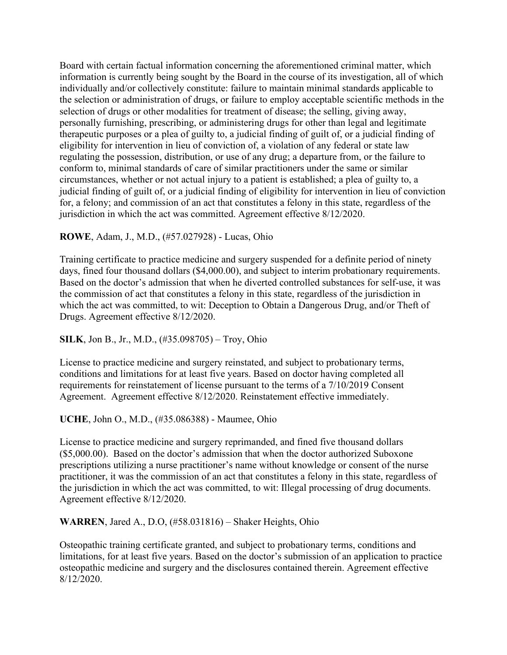Board with certain factual information concerning the aforementioned criminal matter, which information is currently being sought by the Board in the course of its investigation, all of which individually and/or collectively constitute: failure to maintain minimal standards applicable to the selection or administration of drugs, or failure to employ acceptable scientific methods in the selection of drugs or other modalities for treatment of disease; the selling, giving away, personally furnishing, prescribing, or administering drugs for other than legal and legitimate therapeutic purposes or a plea of guilty to, a judicial finding of guilt of, or a judicial finding of eligibility for intervention in lieu of conviction of, a violation of any federal or state law regulating the possession, distribution, or use of any drug; a departure from, or the failure to conform to, minimal standards of care of similar practitioners under the same or similar circumstances, whether or not actual injury to a patient is established; a plea of guilty to, a judicial finding of guilt of, or a judicial finding of eligibility for intervention in lieu of conviction for, a felony; and commission of an act that constitutes a felony in this state, regardless of the jurisdiction in which the act was committed. Agreement effective 8/12/2020.

#### **ROWE**, Adam, J., M.D., (#57.027928) - Lucas, Ohio

Training certificate to practice medicine and surgery suspended for a definite period of ninety days, fined four thousand dollars (\$4,000.00), and subject to interim probationary requirements. Based on the doctor's admission that when he diverted controlled substances for self-use, it was the commission of act that constitutes a felony in this state, regardless of the jurisdiction in which the act was committed, to wit: Deception to Obtain a Dangerous Drug, and/or Theft of Drugs. Agreement effective 8/12/2020.

#### **SILK**, Jon B., Jr., M.D., (#35.098705) – Troy, Ohio

License to practice medicine and surgery reinstated, and subject to probationary terms, conditions and limitations for at least five years. Based on doctor having completed all requirements for reinstatement of license pursuant to the terms of a 7/10/2019 Consent Agreement. Agreement effective 8/12/2020. Reinstatement effective immediately.

#### **UCHE**, John O., M.D., (#35.086388) - Maumee, Ohio

License to practice medicine and surgery reprimanded, and fined five thousand dollars (\$5,000.00). Based on the doctor's admission that when the doctor authorized Suboxone prescriptions utilizing a nurse practitioner's name without knowledge or consent of the nurse practitioner, it was the commission of an act that constitutes a felony in this state, regardless of the jurisdiction in which the act was committed, to wit: Illegal processing of drug documents. Agreement effective 8/12/2020.

#### **WARREN**, Jared A., D.O, (#58.031816) – Shaker Heights, Ohio

Osteopathic training certificate granted, and subject to probationary terms, conditions and limitations, for at least five years. Based on the doctor's submission of an application to practice osteopathic medicine and surgery and the disclosures contained therein. Agreement effective 8/12/2020.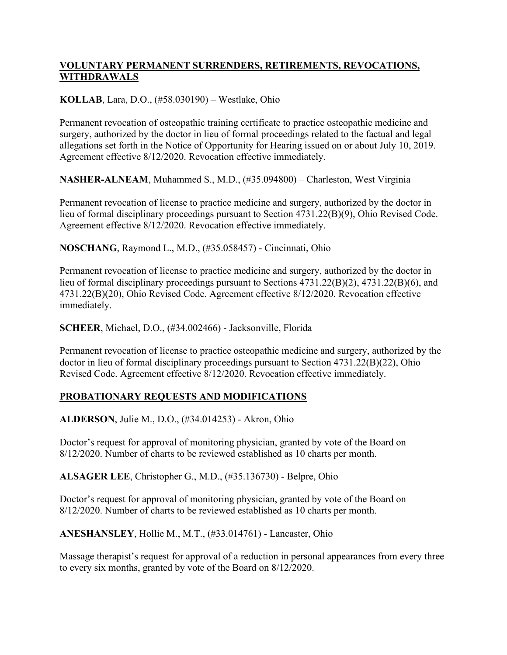## **VOLUNTARY PERMANENT SURRENDERS, RETIREMENTS, REVOCATIONS, WITHDRAWALS**

## **KOLLAB**, Lara, D.O., (#58.030190) – Westlake, Ohio

Permanent revocation of osteopathic training certificate to practice osteopathic medicine and surgery, authorized by the doctor in lieu of formal proceedings related to the factual and legal allegations set forth in the Notice of Opportunity for Hearing issued on or about July 10, 2019. Agreement effective 8/12/2020. Revocation effective immediately.

**NASHER-ALNEAM**, Muhammed S., M.D., (#35.094800) – Charleston, West Virginia

Permanent revocation of license to practice medicine and surgery, authorized by the doctor in lieu of formal disciplinary proceedings pursuant to Section 4731.22(B)(9), Ohio Revised Code. Agreement effective 8/12/2020. Revocation effective immediately.

**NOSCHANG**, Raymond L., M.D., (#35.058457) - Cincinnati, Ohio

Permanent revocation of license to practice medicine and surgery, authorized by the doctor in lieu of formal disciplinary proceedings pursuant to Sections 4731.22(B)(2), 4731.22(B)(6), and 4731.22(B)(20), Ohio Revised Code. Agreement effective 8/12/2020. Revocation effective immediately.

**SCHEER**, Michael, D.O., (#34.002466) - Jacksonville, Florida

Permanent revocation of license to practice osteopathic medicine and surgery, authorized by the doctor in lieu of formal disciplinary proceedings pursuant to Section 4731.22(B)(22), Ohio Revised Code. Agreement effective 8/12/2020. Revocation effective immediately.

# **PROBATIONARY REQUESTS AND MODIFICATIONS**

**ALDERSON**, Julie M., D.O., (#34.014253) - Akron, Ohio

Doctor's request for approval of monitoring physician, granted by vote of the Board on 8/12/2020. Number of charts to be reviewed established as 10 charts per month.

**ALSAGER LEE**, Christopher G., M.D., (#35.136730) - Belpre, Ohio

Doctor's request for approval of monitoring physician, granted by vote of the Board on 8/12/2020. Number of charts to be reviewed established as 10 charts per month.

**ANESHANSLEY**, Hollie M., M.T., (#33.014761) - Lancaster, Ohio

Massage therapist's request for approval of a reduction in personal appearances from every three to every six months, granted by vote of the Board on 8/12/2020.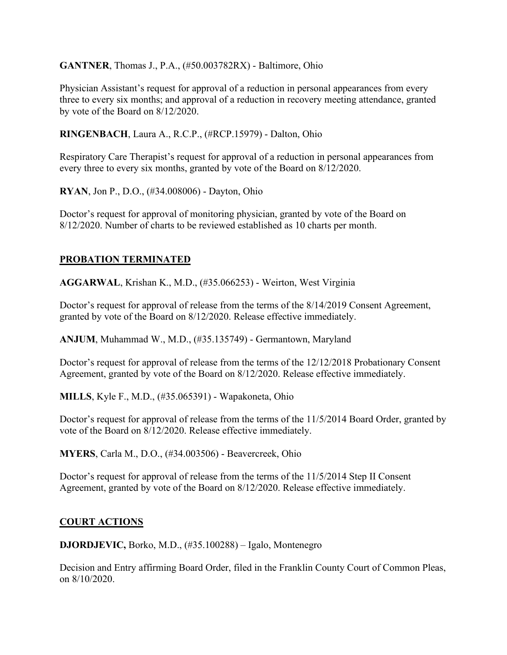**GANTNER**, Thomas J., P.A., (#50.003782RX) - Baltimore, Ohio

Physician Assistant's request for approval of a reduction in personal appearances from every three to every six months; and approval of a reduction in recovery meeting attendance, granted by vote of the Board on 8/12/2020.

**RINGENBACH**, Laura A., R.C.P., (#RCP.15979) - Dalton, Ohio

Respiratory Care Therapist's request for approval of a reduction in personal appearances from every three to every six months, granted by vote of the Board on 8/12/2020.

**RYAN**, Jon P., D.O., (#34.008006) - Dayton, Ohio

Doctor's request for approval of monitoring physician, granted by vote of the Board on 8/12/2020. Number of charts to be reviewed established as 10 charts per month.

# **PROBATION TERMINATED**

**AGGARWAL**, Krishan K., M.D., (#35.066253) - Weirton, West Virginia

Doctor's request for approval of release from the terms of the 8/14/2019 Consent Agreement, granted by vote of the Board on 8/12/2020. Release effective immediately.

**ANJUM**, Muhammad W., M.D., (#35.135749) - Germantown, Maryland

Doctor's request for approval of release from the terms of the 12/12/2018 Probationary Consent Agreement, granted by vote of the Board on 8/12/2020. Release effective immediately.

**MILLS**, Kyle F., M.D., (#35.065391) - Wapakoneta, Ohio

Doctor's request for approval of release from the terms of the 11/5/2014 Board Order, granted by vote of the Board on 8/12/2020. Release effective immediately.

**MYERS**, Carla M., D.O., (#34.003506) - Beavercreek, Ohio

Doctor's request for approval of release from the terms of the 11/5/2014 Step II Consent Agreement, granted by vote of the Board on 8/12/2020. Release effective immediately.

# **COURT ACTIONS**

**DJORDJEVIC,** Borko, M.D., (#35.100288) – Igalo, Montenegro

Decision and Entry affirming Board Order, filed in the Franklin County Court of Common Pleas, on 8/10/2020.